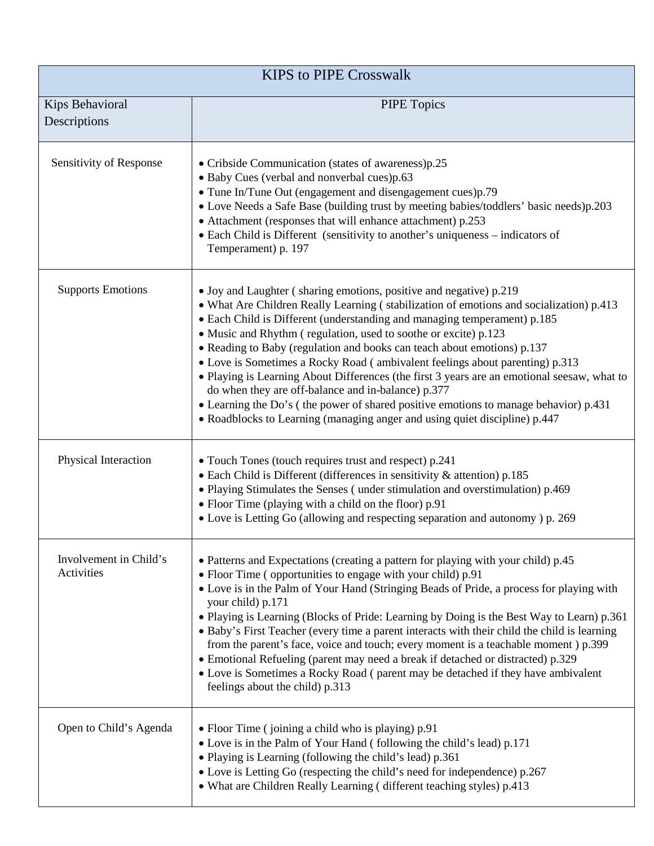| <b>KIPS to PIPE Crosswalk</b>        |                                                                                                                                                                                                                                                                                                                                                                                                                                                                                                                                                                                                                                                                                                                                                                                                    |  |
|--------------------------------------|----------------------------------------------------------------------------------------------------------------------------------------------------------------------------------------------------------------------------------------------------------------------------------------------------------------------------------------------------------------------------------------------------------------------------------------------------------------------------------------------------------------------------------------------------------------------------------------------------------------------------------------------------------------------------------------------------------------------------------------------------------------------------------------------------|--|
| Kips Behavioral<br>Descriptions      | <b>PIPE Topics</b>                                                                                                                                                                                                                                                                                                                                                                                                                                                                                                                                                                                                                                                                                                                                                                                 |  |
| Sensitivity of Response              | • Cribside Communication (states of awareness)p.25<br>• Baby Cues (verbal and nonverbal cues)p.63<br>• Tune In/Tune Out (engagement and disengagement cues)p.79<br>• Love Needs a Safe Base (building trust by meeting babies/toddlers' basic needs)p.203<br>• Attachment (responses that will enhance attachment) p.253<br>• Each Child is Different (sensitivity to another's uniqueness – indicators of<br>Temperament) p. 197                                                                                                                                                                                                                                                                                                                                                                  |  |
| <b>Supports Emotions</b>             | • Joy and Laughter (sharing emotions, positive and negative) p.219<br>• What Are Children Really Learning (stabilization of emotions and socialization) p.413<br>• Each Child is Different (understanding and managing temperament) p.185<br>• Music and Rhythm (regulation, used to soothe or excite) p.123<br>• Reading to Baby (regulation and books can teach about emotions) p.137<br>• Love is Sometimes a Rocky Road (ambivalent feelings about parenting) p.313<br>• Playing is Learning About Differences (the first 3 years are an emotional seesaw, what to<br>do when they are off-balance and in-balance) p.377<br>• Learning the Do's (the power of shared positive emotions to manage behavior) p.431<br>• Roadblocks to Learning (managing anger and using quiet discipline) p.447 |  |
| Physical Interaction                 | • Touch Tones (touch requires trust and respect) p.241<br>• Each Child is Different (differences in sensitivity & attention) p.185<br>• Playing Stimulates the Senses (under stimulation and overstimulation) p.469<br>• Floor Time (playing with a child on the floor) p.91<br>• Love is Letting Go (allowing and respecting separation and autonomy) p. 269                                                                                                                                                                                                                                                                                                                                                                                                                                      |  |
| Involvement in Child's<br>Activities | • Patterns and Expectations (creating a pattern for playing with your child) p.45<br>• Floor Time (opportunities to engage with your child) p.91<br>• Love is in the Palm of Your Hand (Stringing Beads of Pride, a process for playing with<br>your child) p.171<br>• Playing is Learning (Blocks of Pride: Learning by Doing is the Best Way to Learn) p.361<br>• Baby's First Teacher (every time a parent interacts with their child the child is learning<br>from the parent's face, voice and touch; every moment is a teachable moment ) p.399<br>• Emotional Refueling (parent may need a break if detached or distracted) p.329<br>• Love is Sometimes a Rocky Road (parent may be detached if they have ambivalent<br>feelings about the child) p.313                                    |  |
| Open to Child's Agenda               | • Floor Time (joining a child who is playing) p.91<br>• Love is in the Palm of Your Hand (following the child's lead) p.171<br>• Playing is Learning (following the child's lead) p.361<br>• Love is Letting Go (respecting the child's need for independence) p.267<br>• What are Children Really Learning (different teaching styles) p.413                                                                                                                                                                                                                                                                                                                                                                                                                                                      |  |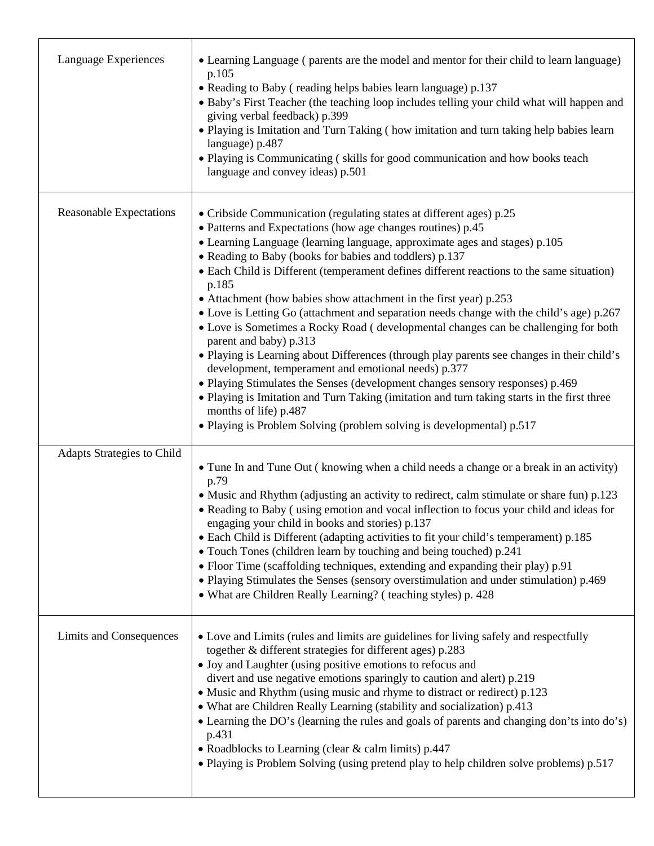| Language Experiences              | • Learning Language (parents are the model and mentor for their child to learn language)<br>p.105<br>• Reading to Baby (reading helps babies learn language) p.137<br>• Baby's First Teacher (the teaching loop includes telling your child what will happen and<br>giving verbal feedback) p.399<br>. Playing is Imitation and Turn Taking (how imitation and turn taking help babies learn<br>language) p.487<br>• Playing is Communicating (skills for good communication and how books teach<br>language and convey ideas) p.501                                                                                                                                                                                                                                                                                                                                                                                                                                                                                                                                                                       |
|-----------------------------------|------------------------------------------------------------------------------------------------------------------------------------------------------------------------------------------------------------------------------------------------------------------------------------------------------------------------------------------------------------------------------------------------------------------------------------------------------------------------------------------------------------------------------------------------------------------------------------------------------------------------------------------------------------------------------------------------------------------------------------------------------------------------------------------------------------------------------------------------------------------------------------------------------------------------------------------------------------------------------------------------------------------------------------------------------------------------------------------------------------|
| <b>Reasonable Expectations</b>    | • Cribside Communication (regulating states at different ages) p.25<br>• Patterns and Expectations (how age changes routines) p.45<br>• Learning Language (learning language, approximate ages and stages) p.105<br>• Reading to Baby (books for babies and toddlers) p.137<br>• Each Child is Different (temperament defines different reactions to the same situation)<br>p.185<br>• Attachment (how babies show attachment in the first year) p.253<br>• Love is Letting Go (attachment and separation needs change with the child's age) p.267<br>• Love is Sometimes a Rocky Road (developmental changes can be challenging for both<br>parent and baby) p.313<br>· Playing is Learning about Differences (through play parents see changes in their child's<br>development, temperament and emotional needs) p.377<br>• Playing Stimulates the Senses (development changes sensory responses) p.469<br>• Playing is Imitation and Turn Taking (imitation and turn taking starts in the first three<br>months of life) p.487<br>• Playing is Problem Solving (problem solving is developmental) p.517 |
| <b>Adapts Strategies to Child</b> | • Tune In and Tune Out (knowing when a child needs a change or a break in an activity)<br>p.79<br>• Music and Rhythm (adjusting an activity to redirect, calm stimulate or share fun) p.123<br>• Reading to Baby (using emotion and vocal inflection to focus your child and ideas for<br>engaging your child in books and stories) p.137<br>• Each Child is Different (adapting activities to fit your child's temperament) p.185<br>• Touch Tones (children learn by touching and being touched) p.241<br>• Floor Time (scaffolding techniques, extending and expanding their play) p.91<br>• Playing Stimulates the Senses (sensory overstimulation and under stimulation) p.469<br>• What are Children Really Learning? (teaching styles) p. 428                                                                                                                                                                                                                                                                                                                                                       |
| Limits and Consequences           | • Love and Limits (rules and limits are guidelines for living safely and respectfully<br>together & different strategies for different ages) p.283<br>• Joy and Laughter (using positive emotions to refocus and<br>divert and use negative emotions sparingly to caution and alert) p.219<br>• Music and Rhythm (using music and rhyme to distract or redirect) p.123<br>• What are Children Really Learning (stability and socialization) p.413<br>• Learning the DO's (learning the rules and goals of parents and changing don'ts into do's)<br>p.431<br>• Roadblocks to Learning (clear & calm limits) p.447<br>• Playing is Problem Solving (using pretend play to help children solve problems) p.517                                                                                                                                                                                                                                                                                                                                                                                               |